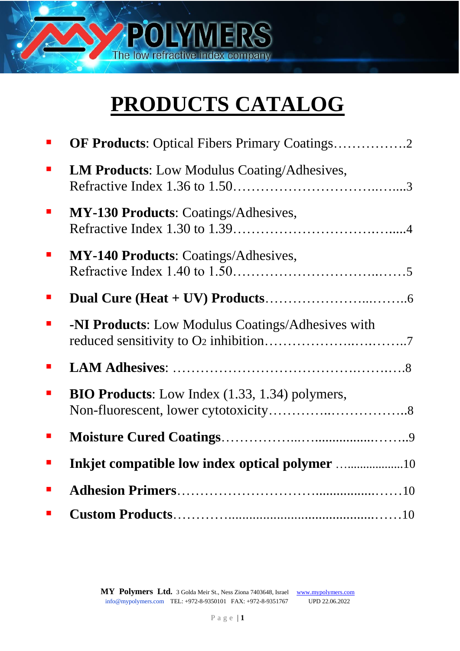

# **PRODUCTS CATALOG**

|   | <b>OF Products:</b> Optical Fibers Primary Coatings2  |
|---|-------------------------------------------------------|
| ш | <b>LM Products:</b> Low Modulus Coating/Adhesives,    |
|   | MY-130 Products: Coatings/Adhesives,                  |
|   | <b>MY-140 Products: Coatings/Adhesives,</b>           |
|   |                                                       |
| Ш | -NI Products: Low Modulus Coatings/Adhesives with     |
|   |                                                       |
|   | <b>BIO Products:</b> Low Index (1.33, 1.34) polymers, |
|   |                                                       |
|   |                                                       |
|   |                                                       |
|   |                                                       |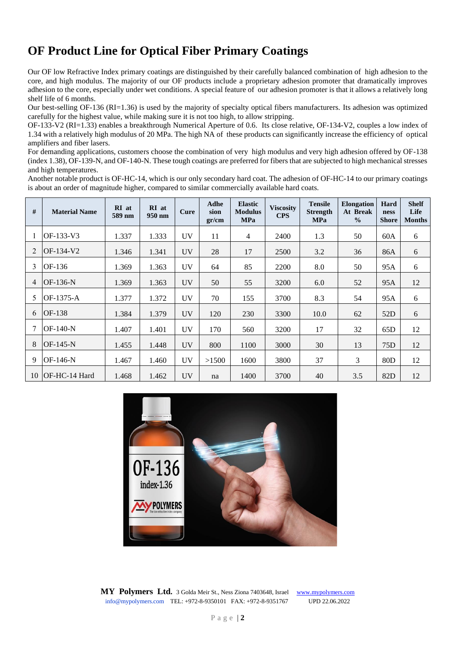# **OF Product Line for Optical Fiber Primary Coatings**

Our OF low Refractive Index primary coatings are distinguished by their carefully balanced combination of high adhesion to the core, and high modulus. The majority of our OF products include a proprietary adhesion promoter that dramatically improves adhesion to the core, especially under wet conditions. A special feature of our adhesion promoter is that it allows a relatively long shelf life of 6 months.

Our best-selling OF-136 (RI=1.36) is used by the majority of specialty optical fibers manufacturers. Its adhesion was optimized carefully for the highest value, while making sure it is not too high, to allow stripping.

OF-133-V2 (RI=1.33) enables a breakthrough Numerical Aperture of 0.6. Its close relative, OF-134-V2, couples a low index of 1.34 with a relatively high modulus of 20 MPa. The high NA of these products can significantly increase the efficiency of optical amplifiers and fiber lasers.

For demanding applications, customers choose the combination of very high modulus and very high adhesion offered by OF-138 (index 1.38), OF-139-N, and OF-140-N. These tough coatings are preferred for fibers that are subjected to high mechanical stresses and high temperatures.

Another notable product is OF-HC-14, which is our only secondary hard coat. The adhesion of OF-HC-14 to our primary coatings is about an order of magnitude higher, compared to similar commercially available hard coats.

| #  | <b>Material Name</b> | RI at<br>589 nm | RI at<br>950 nm | Cure      | <b>Adhe</b><br>sion<br>gr/cm | <b>Elastic</b><br><b>Modulus</b><br><b>MPa</b> | <b>Viscosity</b><br><b>CPS</b> | <b>Tensile</b><br><b>Strength</b><br><b>MPa</b> | <b>Elongation</b><br>At Break<br>$\frac{0}{0}$ | Hard<br>ness<br><b>Shore</b> | <b>Shelf</b><br>Life<br><b>Months</b> |
|----|----------------------|-----------------|-----------------|-----------|------------------------------|------------------------------------------------|--------------------------------|-------------------------------------------------|------------------------------------------------|------------------------------|---------------------------------------|
|    | OF-133-V3            | 1.337           | 1.333           | <b>UV</b> | 11                           | $\overline{4}$                                 | 2400                           | 1.3                                             | 50                                             | 60A                          | 6                                     |
| 2  | OF-134-V2            | 1.346           | 1.341           | <b>UV</b> | 28                           | 17                                             | 2500                           | 3.2                                             | 36                                             | 86A                          | 6                                     |
| 3  | OF-136               | 1.369           | 1.363           | <b>UV</b> | 64                           | 85                                             | 2200                           | 8.0                                             | 50                                             | 95A                          | 6                                     |
| 4  | OF-136-N             | 1.369           | 1.363           | <b>UV</b> | 50                           | 55                                             | 3200                           | 6.0                                             | 52                                             | 95A                          | 12                                    |
| 5  | OF-1375-A            | 1.377           | 1.372           | UV        | 70                           | 155                                            | 3700                           | 8.3                                             | 54                                             | 95A                          | 6                                     |
| 6  | OF-138               | 1.384           | 1.379           | <b>UV</b> | 120                          | 230                                            | 3300                           | 10.0                                            | 62                                             | 52D                          | 6                                     |
|    | $OF-140-N$           | 1.407           | 1.401           | UV        | 170                          | 560                                            | 3200                           | 17                                              | 32                                             | 65D                          | 12                                    |
| 8  | $OF-145-N$           | 1.455           | 1.448           | <b>UV</b> | 800                          | 1100                                           | 3000                           | 30                                              | 13                                             | 75 <sub>D</sub>              | 12                                    |
| 9  | OF-146-N             | 1.467           | 1.460           | UV        | >1500                        | 1600                                           | 3800                           | 37                                              | 3                                              | 80 <sub>D</sub>              | 12                                    |
| 10 | OF-HC-14 Hard        | 1.468           | 1.462           | <b>UV</b> | na                           | 1400                                           | 3700                           | 40                                              | 3.5                                            | 82D                          | 12                                    |

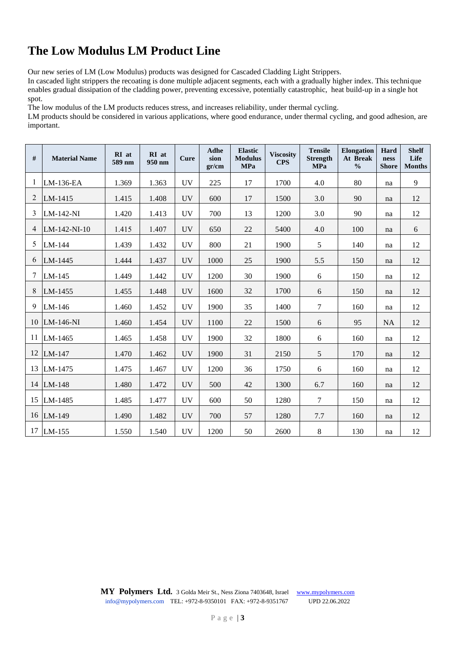# **The Low Modulus LM Product Line**

Our new series of LM (Low Modulus) products was designed for Cascaded Cladding Light Strippers.

In cascaded light strippers the recoating is done multiple adjacent segments, each with a gradually higher index. This technique enables gradual dissipation of the cladding power, preventing excessive, potentially catastrophic, heat build-up in a single hot spot.

The low modulus of the LM products reduces stress, and increases reliability, under thermal cycling.

LM products should be considered in various applications, where good endurance, under thermal cycling, and good adhesion, are important.

| $\#$           | <b>Material Name</b> | RI at<br>589 nm | RI at<br>950 nm | Cure      | Adhe<br>sion<br>gr/cm | <b>Elastic</b><br><b>Modulus</b><br><b>MPa</b> | <b>Viscosity</b><br><b>CPS</b> | <b>Tensile</b><br><b>Strength</b><br><b>MPa</b> | <b>Elongation</b><br>At Break<br>$\frac{0}{0}$ | Hard<br>ness<br><b>Shore</b> | <b>Shelf</b><br>Life<br><b>Months</b> |
|----------------|----------------------|-----------------|-----------------|-----------|-----------------------|------------------------------------------------|--------------------------------|-------------------------------------------------|------------------------------------------------|------------------------------|---------------------------------------|
| $\mathbf{1}$   | LM-136-EA            | 1.369           | 1.363           | <b>UV</b> | 225                   | 17                                             | 1700                           | 4.0                                             | 80                                             | na                           | 9                                     |
| 2              | LM-1415              | 1.415           | 1.408           | <b>UV</b> | 600                   | 17                                             | 1500                           | 3.0                                             | 90                                             | na                           | 12                                    |
| 3              | LM-142-NI            | 1.420           | 1.413           | <b>UV</b> | 700                   | 13                                             | 1200                           | 3.0                                             | 90                                             | na                           | 12                                    |
| $\overline{4}$ | LM-142-NI-10         | 1.415           | 1.407           | <b>UV</b> | 650                   | 22                                             | 5400                           | 4.0                                             | 100                                            | na                           | 6                                     |
| 5              | LM-144               | 1.439           | 1.432           | <b>UV</b> | 800                   | 21                                             | 1900                           | 5                                               | 140                                            | na                           | 12                                    |
| 6              | LM-1445              | 1.444           | 1.437           | <b>UV</b> | 1000                  | 25                                             | 1900                           | 5.5                                             | 150                                            | na                           | 12                                    |
| 7              | LM-145               | 1.449           | 1.442           | <b>UV</b> | 1200                  | 30                                             | 1900                           | 6                                               | 150                                            | na                           | 12                                    |
| 8              | LM-1455              | 1.455           | 1.448           | <b>UV</b> | 1600                  | 32                                             | 1700                           | 6                                               | 150                                            | na                           | 12                                    |
| 9              | LM-146               | 1.460           | 1.452           | <b>UV</b> | 1900                  | 35                                             | 1400                           | $\boldsymbol{7}$                                | 160                                            | na                           | 12                                    |
|                | 10 LM-146-NI         | 1.460           | 1.454           | <b>UV</b> | 1100                  | 22                                             | 1500                           | 6                                               | 95                                             | <b>NA</b>                    | 12                                    |
| 11             | LM-1465              | 1.465           | 1.458           | <b>UV</b> | 1900                  | 32                                             | 1800                           | 6                                               | 160                                            | na                           | 12                                    |
|                | 12 LM-147            | 1.470           | 1.462           | <b>UV</b> | 1900                  | 31                                             | 2150                           | 5                                               | 170                                            | na                           | 12                                    |
|                | 13 LM-1475           | 1.475           | 1.467           | <b>UV</b> | 1200                  | 36                                             | 1750                           | $\sqrt{6}$                                      | 160                                            | na                           | 12                                    |
|                | 14 LM-148            | 1.480           | 1.472           | <b>UV</b> | 500                   | 42                                             | 1300                           | 6.7                                             | 160                                            | na                           | 12                                    |
|                | 15 LM-1485           | 1.485           | 1.477           | <b>UV</b> | 600                   | 50                                             | 1280                           | 7                                               | 150                                            | na                           | 12                                    |
|                | 16 LM-149            | 1.490           | 1.482           | <b>UV</b> | 700                   | 57                                             | 1280                           | 7.7                                             | 160                                            | na                           | 12                                    |
| 17             | LM-155               | 1.550           | 1.540           | <b>UV</b> | 1200                  | 50                                             | 2600                           | $8\,$                                           | 130                                            | na                           | 12                                    |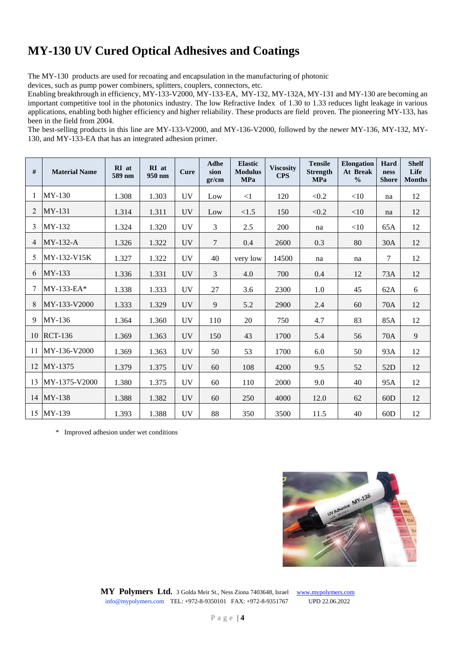### **MY-130 UV Cured Optical Adhesives and Coatings**

The MY-130 products are used for recoating and encapsulation in the manufacturing of photonic

devices, such as pump power combiners, splitters, couplers, connectors, etc.

Enabling breakthrough in efficiency, MY-133-V2000, MY-133-EA, MY-132, MY-132A, MY-131 and MY-130 are becoming an important competitive tool in the photonics industry. The low Refractive Index of 1.30 to 1.33 reduces light leakage in various applications, enabling both higher efficiency and higher reliability. These products are field proven. The pioneering MY-133, has been in the field from 2004.

The best-selling products in this line are MY-133-V2000, and MY-136-V2000, followed by the newer MY-136, MY-132, MY-130, and MY-133-EA that has an integrated adhesion primer.

| $\#$ | <b>Material Name</b> | RI at<br>589 nm | RI at<br>950 nm | Cure      | <b>Adhe</b><br>sion<br>gr/cm | <b>Elastic</b><br><b>Modulus</b><br><b>MPa</b> | <b>Viscosity</b><br><b>CPS</b> | <b>Tensile</b><br><b>Strength</b><br><b>MPa</b> | <b>Elongation</b><br>At Break<br>$\frac{0}{0}$ | Hard<br>ness<br><b>Shore</b> | <b>Shelf</b><br>Life<br><b>Months</b> |
|------|----------------------|-----------------|-----------------|-----------|------------------------------|------------------------------------------------|--------------------------------|-------------------------------------------------|------------------------------------------------|------------------------------|---------------------------------------|
|      | $MY-130$             | 1.308           | 1.303           | <b>UV</b> | Low                          | <1                                             | 120                            | < 0.2                                           | <10                                            | na                           | 12                                    |
| 2    | MY-131               | 1.314           | 1.311           | <b>UV</b> | Low                          | < 1.5                                          | 150                            | < 0.2                                           | <10                                            | na                           | 12                                    |
| 3    | MY-132               | 1.324           | 1.320           | <b>UV</b> | 3                            | 2.5                                            | 200                            | na                                              | $<$ 10                                         | 65A                          | 12                                    |
| 4    | $MY-132-A$           | 1.326           | 1.322           | <b>UV</b> | $\overline{7}$               | 0.4                                            | 2600                           | 0.3                                             | 80                                             | 30A                          | 12                                    |
| 5    | MY-132-V15K          | 1.327           | 1.322           | <b>UV</b> | 40                           | very low                                       | 14500                          | na                                              | na                                             | 7                            | 12                                    |
| 6    | $MY-133$             | 1.336           | 1.331           | UV        | 3                            | 4.0                                            | 700                            | 0.4                                             | 12                                             | 73A                          | 12                                    |
|      | MY-133-EA*           | 1.338           | 1.333           | <b>UV</b> | 27                           | 3.6                                            | 2300                           | 1.0                                             | 45                                             | 62A                          | 6                                     |
| 8    | MY-133-V2000         | 1.333           | 1.329           | <b>UV</b> | 9                            | 5.2                                            | 2900                           | 2.4                                             | 60                                             | 70A                          | 12                                    |
| 9    | MY-136               | 1.364           | 1.360           | <b>UV</b> | 110                          | 20                                             | 750                            | 4.7                                             | 83                                             | 85A                          | 12                                    |
|      | 10 RCT-136           | 1.369           | 1.363           | <b>UV</b> | 150                          | 43                                             | 1700                           | 5.4                                             | 56                                             | 70A                          | $\overline{9}$                        |
| 11   | MY-136-V2000         | 1.369           | 1.363           | <b>UV</b> | 50                           | 53                                             | 1700                           | 6.0                                             | 50                                             | 93A                          | 12                                    |
| 12   | $MY-1375$            | 1.379           | 1.375           | <b>UV</b> | 60                           | 108                                            | 4200                           | 9.5                                             | 52                                             | 52D                          | 12                                    |
| 13   | MY-1375-V2000        | 1.380           | 1.375           | <b>UV</b> | 60                           | 110                                            | 2000                           | 9.0                                             | 40                                             | 95A                          | 12                                    |
|      | 14 MY-138            | 1.388           | 1.382           | <b>UV</b> | 60                           | 250                                            | 4000                           | 12.0                                            | 62                                             | 60D                          | 12                                    |
|      | 15 MY-139            | 1.393           | 1.388           | <b>UV</b> | 88                           | 350                                            | 3500                           | 11.5                                            | 40                                             | 60D                          | 12                                    |

\* Improved adhesion under wet conditions

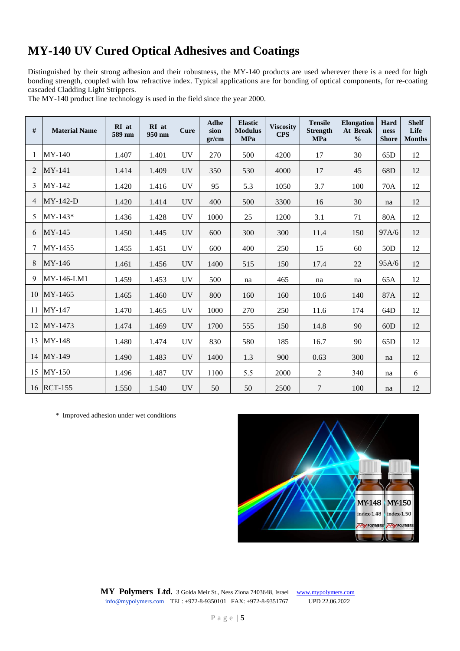# **MY-140 UV Cured Optical Adhesives and Coatings**

Distinguished by their strong adhesion and their robustness, the MY-140 products are used wherever there is a need for high bonding strength, coupled with low refractive index. Typical applications are for bonding of optical components, for re-coating cascaded Cladding Light Strippers.

The MY-140 product line technology is used in the field since the year 2000.

| #              | <b>Material Name</b> | RI at<br>589 nm | RI at<br>950 nm | <b>Cure</b> | Adhe<br>sion<br>gr/cm | <b>Elastic</b><br><b>Modulus</b><br><b>MPa</b> | <b>Viscosity</b><br><b>CPS</b> | <b>Tensile</b><br><b>Strength</b><br><b>MPa</b> | <b>Elongation</b><br>At Break<br>$\frac{0}{0}$ | Hard<br>ness<br><b>Shore</b> | <b>Shelf</b><br>Life<br><b>Months</b> |
|----------------|----------------------|-----------------|-----------------|-------------|-----------------------|------------------------------------------------|--------------------------------|-------------------------------------------------|------------------------------------------------|------------------------------|---------------------------------------|
| 1              | $MY-140$             | 1.407           | 1.401           | <b>UV</b>   | 270                   | 500                                            | 4200                           | 17                                              | 30                                             | 65 <sub>D</sub>              | 12                                    |
| 2              | MY-141               | 1.414           | 1.409           | <b>UV</b>   | 350                   | 530                                            | 4000                           | 17                                              | 45                                             | 68D                          | 12                                    |
| 3              | MY-142               | 1.420           | 1.416           | <b>UV</b>   | 95                    | 5.3                                            | 1050                           | 3.7                                             | 100                                            | 70A                          | 12                                    |
| $\overline{4}$ | $MY-142-D$           | 1.420           | 1.414           | <b>UV</b>   | 400                   | 500                                            | 3300                           | 16                                              | 30                                             | na                           | 12                                    |
| 5              | $MY-143*$            | 1.436           | 1.428           | <b>UV</b>   | 1000                  | 25                                             | 1200                           | 3.1                                             | 71                                             | 80A                          | 12                                    |
| 6              | $MY-145$             | 1.450           | 1.445           | <b>UV</b>   | 600                   | 300                                            | 300                            | 11.4                                            | 150                                            | 97A/6                        | 12                                    |
| 7              | MY-1455              | 1.455           | 1.451           | <b>UV</b>   | 600                   | 400                                            | 250                            | 15                                              | 60                                             | 50 <sub>D</sub>              | 12                                    |
| 8              | MY-146               | 1.461           | 1.456           | <b>UV</b>   | 1400                  | 515                                            | 150                            | 17.4                                            | 22                                             | 95A/6                        | 12                                    |
| 9              | MY-146-LM1           | 1.459           | 1.453           | <b>UV</b>   | 500                   | na                                             | 465                            | na                                              | na                                             | 65A                          | 12                                    |
|                | 10 MY-1465           | 1.465           | 1.460           | <b>UV</b>   | 800                   | 160                                            | 160                            | 10.6                                            | 140                                            | 87A                          | 12                                    |
|                | 11 MY-147            | 1.470           | 1.465           | <b>UV</b>   | 1000                  | 270                                            | 250                            | 11.6                                            | 174                                            | 64D                          | 12                                    |
| 12             | MY-1473              | 1.474           | 1.469           | <b>UV</b>   | 1700                  | 555                                            | 150                            | 14.8                                            | 90                                             | 60D                          | 12                                    |
|                | 13 MY-148            | 1.480           | 1.474           | <b>UV</b>   | 830                   | 580                                            | 185                            | 16.7                                            | 90                                             | 65 <sub>D</sub>              | 12                                    |
|                | 14 MY-149            | 1.490           | 1.483           | <b>UV</b>   | 1400                  | 1.3                                            | 900                            | 0.63                                            | 300                                            | na                           | 12                                    |
|                | 15 MY-150            | 1.496           | 1.487           | <b>UV</b>   | 1100                  | 5.5                                            | 2000                           | $\overline{2}$                                  | 340                                            | na                           | 6                                     |
|                | 16 RCT-155           | 1.550           | 1.540           | <b>UV</b>   | 50                    | 50                                             | 2500                           | $\boldsymbol{7}$                                | 100                                            | na                           | 12                                    |

\* Improved adhesion under wet conditions

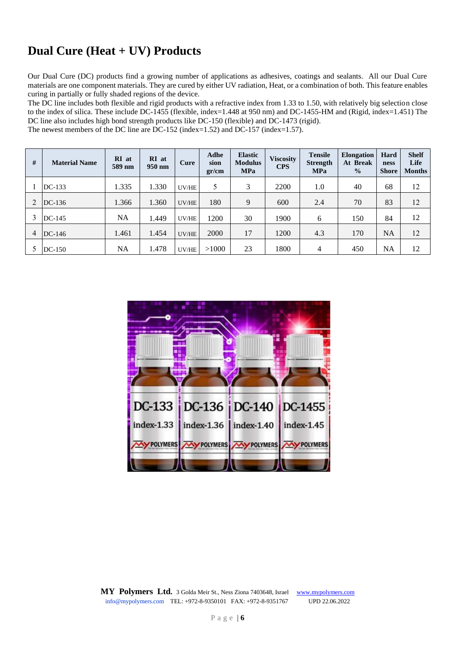# **Dual Cure (Heat + UV) Products**

Our Dual Cure (DC) products find a growing number of applications as adhesives, coatings and sealants. All our Dual Cure materials are one component materials. They are cured by either UV radiation, Heat, or a combination of both. This feature enables curing in partially or fully shaded regions of the device.

The DC line includes both flexible and rigid products with a refractive index from 1.33 to 1.50, with relatively big selection close to the index of silica. These include DC-1455 (flexible, index=1.448 at 950 nm) and DC-1455-HM and (Rigid, index=1.451) The DC line also includes high bond strength products like DC-150 (flexible) and DC-1473 (rigid). The newest members of the DC line are DC-152 (index=1.52) and DC-157 (index=1.57).

| #              | <b>Material Name</b> | RI at<br>589 nm | RI at<br>950 nm | Cure  | <b>Adhe</b><br>sion<br>gr/cm | <b>Elastic</b><br><b>Modulus</b><br><b>MPa</b> | <b>Viscosity</b><br><b>CPS</b> | <b>Tensile</b><br><b>Strength</b><br><b>MPa</b> | <b>Elongation</b><br>At Break<br>$\frac{0}{0}$ | Hard<br>ness<br><b>Shore</b> | <b>Shelf</b><br>Life<br><b>Months</b> |
|----------------|----------------------|-----------------|-----------------|-------|------------------------------|------------------------------------------------|--------------------------------|-------------------------------------------------|------------------------------------------------|------------------------------|---------------------------------------|
|                | $DC-133$             | 1.335           | 1.330           | UV/HE |                              | 3                                              | 2200                           | 1.0                                             | 40                                             | 68                           | 12                                    |
|                | $DC-136$             | 1.366           | 1.360           | UV/HE | 180                          | 9                                              | 600                            | 2.4                                             | 70                                             | 83                           | 12                                    |
| 3              | $DC-145$             | NA              | 1.449           | UV/HE | 1200                         | 30                                             | 1900                           | 6                                               | 150                                            | 84                           | 12                                    |
| $\overline{4}$ | $DC-146$             | 1.461           | 1.454           | UV/HE | 2000                         | 17                                             | 1200                           | 4.3                                             | 170                                            | <b>NA</b>                    | 12                                    |
|                | $DC-150$             | NA              | 1.478           | UV/HE | >1000                        | 23                                             | 1800                           | 4                                               | 450                                            | <b>NA</b>                    | 12                                    |

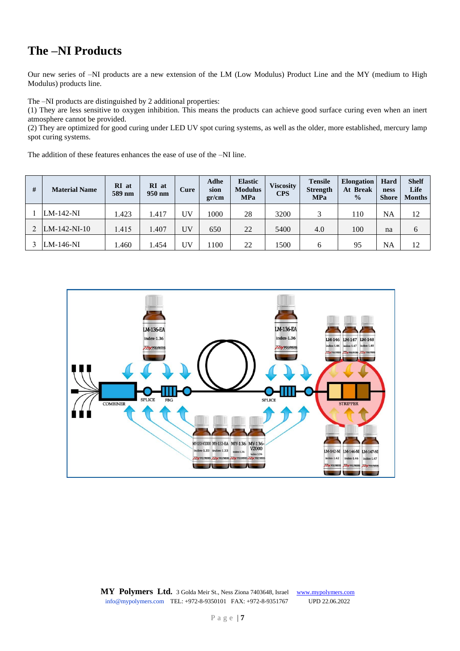#### **The –NI Products**

Our new series of –NI products are a new extension of the LM (Low Modulus) Product Line and the MY (medium to High Modulus) products line.

The –NI products are distinguished by 2 additional properties:

(1) They are less sensitive to oxygen inhibition. This means the products can achieve good surface curing even when an inert atmosphere cannot be provided.

(2) They are optimized for good curing under LED UV spot curing systems, as well as the older, more established, mercury lamp spot curing systems.

The addition of these features enhances the ease of use of the –NI line.

| # | <b>Material Name</b> | RI at<br>589 nm | RI at<br>950 nm | Cure | Adhe<br>sion<br>gr/cm | <b>Elastic</b><br><b>Modulus</b><br><b>MPa</b> | <b>Viscosity</b><br><b>CPS</b> | <b>Tensile</b><br><b>Strength</b><br><b>MPa</b> | <b>Elongation</b><br>At Break<br>$\frac{0}{0}$ | Hard<br>ness<br><b>Shore</b> | <b>Shelf</b><br>Life<br><b>Months</b> |
|---|----------------------|-----------------|-----------------|------|-----------------------|------------------------------------------------|--------------------------------|-------------------------------------------------|------------------------------------------------|------------------------------|---------------------------------------|
|   | $LM-142-NI$          | 1.423           | 1.417           | ŰV   | 1000                  | 28                                             | 3200                           | 3                                               | 110                                            | NA                           | 12                                    |
|   | $LM-142-NI-10$       | 1.415           | 1.407           | UV   | 650                   | 22                                             | 5400                           | 4.0                                             | 100                                            | na                           | 6                                     |
|   | $LM-146-NI$          | .460            | 1.454           | ŰV   | 1100                  | 22                                             | 1500                           | 6                                               | 95                                             | NA                           | 12                                    |

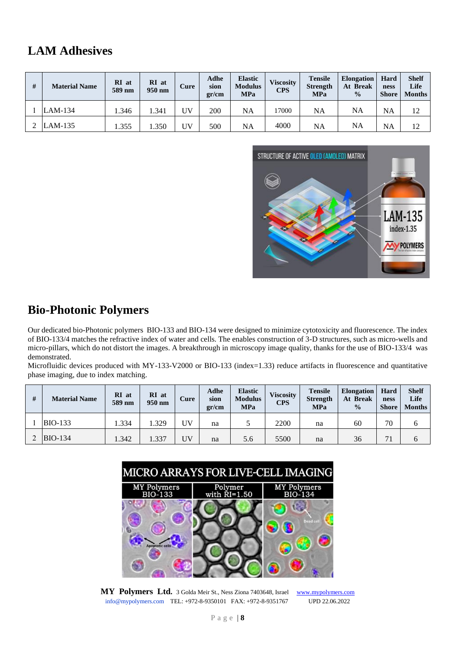#### **LAM Adhesives**

| # | <b>Material Name</b> | RI at<br>589 nm | RI at<br>950 nm | Cure | Adhe<br>sion<br>gr/cm | <b>Elastic</b><br><b>Modulus</b><br><b>MPa</b> | <b>Viscosity</b><br><b>CPS</b> | <b>Tensile</b><br><b>Strength</b><br><b>MPa</b> | <b>Elongation</b><br>At Break<br>$\frac{0}{0}$ | Hard<br>ness<br><b>Shore</b> | <b>Shelf</b><br>Life<br><b>Months</b> |
|---|----------------------|-----------------|-----------------|------|-----------------------|------------------------------------------------|--------------------------------|-------------------------------------------------|------------------------------------------------|------------------------------|---------------------------------------|
|   | $LAM-134$            | l.346           | 1.341           | ŰV   | 200                   | NA                                             | 17000                          | NA                                              | NA                                             | <b>NA</b>                    | 12                                    |
|   | $LAM-135$            | 1.355           | .350            | UV   | 500                   | <b>NA</b>                                      | 4000                           | NA                                              | NA                                             | <b>NA</b>                    | 12                                    |



#### **Bio-Photonic Polymers**

Our dedicated bio-Photonic polymers BIO-133 and BIO-134 were designed to minimize cytotoxicity and fluorescence. The index of BIO-133/4 matches the refractive index of water and cells. The enables construction of 3-D structures, such as micro-wells and micro-pillars, which do not distort the images. A breakthrough in microscopy image quality, thanks for the use of BIO-133/4 was demonstrated.

Microfluidic devices produced with MY-133-V2000 or BIO-133 (index=1.33) reduce artifacts in fluorescence and quantitative phase imaging, due to index matching.

| # | <b>Material Name</b> | RI at<br>589 nm | RI at<br>950 nm | Cure | Adhe<br>sion<br>gr/cm | <b>Elastic</b><br><b>Modulus</b><br><b>MPa</b> | <b>Viscosity</b><br><b>CPS</b> | <b>Tensile</b><br><b>Strength</b><br><b>MPa</b> | <b>Elongation</b><br>At Break<br>$\frac{0}{0}$ | Hard<br>ness<br><b>Shore</b> | <b>Shelf</b><br>Life<br><b>Months</b> |
|---|----------------------|-----------------|-----------------|------|-----------------------|------------------------------------------------|--------------------------------|-------------------------------------------------|------------------------------------------------|------------------------------|---------------------------------------|
|   | <b>BIO-133</b>       | .334            | .329            | UV   | na                    |                                                | 2200                           | na                                              | 60                                             | 70                           |                                       |
|   | $BIO-134$            | 1.342           | .337            | UV   | na                    | 5.6                                            | 5500                           | na                                              | 36                                             |                              | n                                     |



**MY Polymers Ltd.** 3 Golda Meir St., Ness Ziona 7403648, Israel [www.mypolymers.com](file:///C:/Users/user/Dropbox/MP%20%20Internal/Sales%20&%20Marketing/EXHIBITIONS/PW%202019/New%20WEBSITE/CATALOGS/www.mypolymers.com) [info@mypolymers.com](mailto:info@mypolymers.com) TEL: +972-8-9350101 FAX: +972-8-9351767 UPD 22.06.2022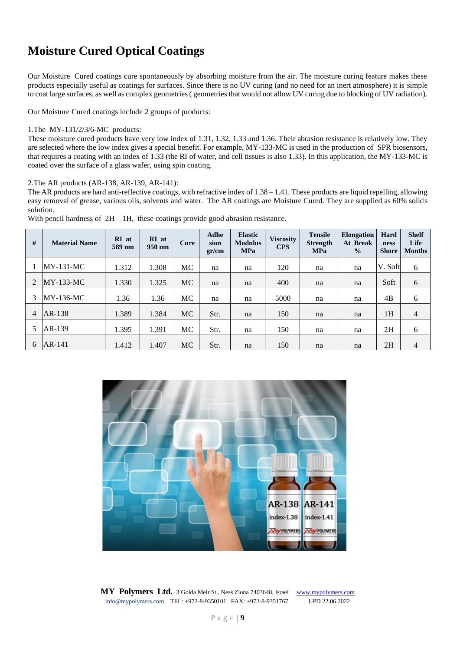# **Moisture Cured Optical Coatings**

Our Moisture Cured coatings cure spontaneously by absorbing moisture from the air. The moisture curing feature makes these products especially useful as coatings for surfaces. Since there is no UV curing (and no need for an inert atmosphere) it is simple to coat large surfaces, as well as complex geometries ( geometries that would not allow UV curing due to blocking of UV radiation).

Our Moisture Cured coatings include 2 groups of products:

#### 1.The MY-131/2/3/6-MC products:

These moisture cured products have very low index of 1.31, 1.32, 1.33 and 1.36. Their abrasion resistance is relatively low. They are selected where the low index gives a special benefit. For example, MY-133-MC is used in the production of SPR biosensors, that requires a coating with an index of 1.33 (the RI of water, and cell tissues is also 1.33). In this application, the MY-133-MC is coated over the surface of a glass wafer, using spin coating.

2.The AR products (AR-138, AR-139, AR-141):

The AR products are hard anti-reflective coatings, with refractive index of  $1.38 - 1.41$ . These products are liquid repelling, allowing easy removal of grease, various oils, solvents and water. The AR coatings are Moisture Cured. They are supplied as 60% solids solution.

| # | <b>Material Name</b> | RI at<br>589 nm | RI at<br>950 nm | Cure      | Adhe<br>sion<br>gr/cm | <b>Elastic</b><br><b>Modulus</b><br><b>MPa</b> | <b>Viscosity</b><br><b>CPS</b> | <b>Tensile</b><br><b>Strength</b><br><b>MPa</b> | <b>Elongation</b><br>At Break<br>$\frac{0}{0}$ | Hard<br>ness<br><b>Shore</b> | <b>Shelf</b><br>Life<br><b>Months</b> |
|---|----------------------|-----------------|-----------------|-----------|-----------------------|------------------------------------------------|--------------------------------|-------------------------------------------------|------------------------------------------------|------------------------------|---------------------------------------|
|   | $MY-131-MC$          | 1.312           | 1.308           | МC        | na                    | na                                             | 120                            | na                                              | na                                             | V. Soft                      | 6                                     |
|   | $MY-133-MC$          | 1.330           | 1.325           | <b>MC</b> | na                    | na                                             | 400                            | na                                              | na                                             | Soft                         | 6                                     |
| 3 | MY-136-MC            | 1.36            | 1.36            | <b>MC</b> | na                    | na                                             | 5000                           | na                                              | na                                             | 4B                           | 6                                     |
| 4 | AR-138               | 1.389           | 1.384           | <b>MC</b> | Str.                  | na                                             | 150                            | na                                              | na                                             | 1H                           | 4                                     |
| 5 | AR-139               | 1.395           | 1.391           | MC        | Str.                  | na                                             | 150                            | na                                              | na                                             | 2H                           | 6                                     |
| 6 | AR-141               | 1.412           | 1.407           | <b>MC</b> | Str.                  | na                                             | 150                            | na                                              | na                                             | 2H                           | 4                                     |

With pencil hardness of  $2H - 1H$ , these coatings provide good abrasion resistance.